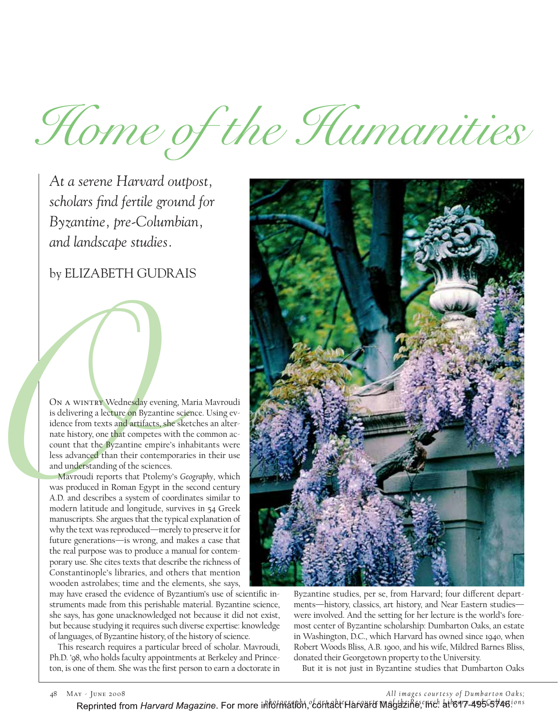Home of the Humanities

*At a serene Harvard outpost, scholars find fertile ground for Byzantine, pre-Columbian, and landscape studies.*

by ELIZABETH GUDRAIS

ON A WINTRY Wednesday evening, Maria Mavroudi is delivering a lecture on Byzantine science. Using evidence from texts and artifacts, she sketches an alternate history, one that competes with the common account that the Byzantine empire's inhabitants were less advanced than their contemporaries in their use and understanding of the sciences.

ON A WINTRY Wednesday eve<br>
is delivering a lecture on Byzan<br>
idence from texts and artifacts,<br>
nate history, one that competes<br>
count that the Byzantine emp<br>
less advanced than their conte<br>
and understanding of the science Mavroudi reports that Ptolemy's *Geography*, which was produced in Roman Egypt in the second century A.D. and describes a system of coordinates similar to modern latitude and longitude, survives in 54 Greek manuscripts. She argues that the typical explanation of why the text was reproduced—merely to preserve it for future generations—is wrong, and makes a case that the real purpose was to produce a manual for contemporary use. She cites texts that describe the richness of Constantinople's libraries, and others that mention wooden astrolabes; time and the elements, she says,

> may have erased the evidence of Byzantium's use of scientific instruments made from this perishable material. Byzantine science, she says, has gone unacknowledged not because it did not exist, but because studying it requires such diverse expertise: knowledge of languages, of Byzantine history, of the history of science.

> This research requires a particular breed of scholar. Mavroudi, Ph.D. '98, who holds faculty appointments at Berkeley and Princeton, is one of them. She was the first person to earn a doctorate in



Byzantine studies, per se, from Harvard; four different departments—history, classics, art history, and Near Eastern studies were involved. And the setting for her lecture is the world's foremost center of Byzantine scholarship: Dumbarton Oaks, an estate in Washington, D.C., which Harvard has owned since 1940, when Robert Woods Bliss, A.B. 1900, and his wife, Mildred Barnes Bliss, donated their Georgetown property to the University.

But it is not just in Byzantine studies that Dumbarton Oaks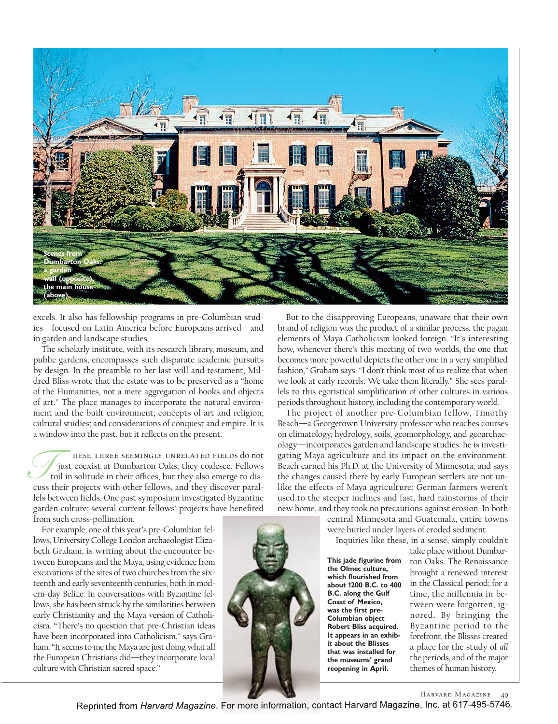

excels. It also has fellowship programs in pre-Columbian studies—focused on Latin America before Europeans arrived—and in garden and landscape studies.

The scholarly institute, with its research library, museum, and public gardens, encompasses such disparate academic pursuits by design. In the preamble to her last will and testament, Mildred Bliss wrote that the estate was to be preserved as a "home of the Humanities, not a mere aggregation of books and objects of art." The place manages to incorporate the natural environment and the built environment; concepts of art and religion; cultural studies; and considerations of conquest and empire. It is a window into the past, but it reflects on the present.

hese three seemingly unrelated fields do not just coexist at Dumbarton Oaks; they coalesce. Fellows toil in solitude in their offices, but they also emerge to dis-THER SEEMINGLY UNRELATED FIELDS do not just coexist at Dumbarton Oaks; they coalesce. Fellows toil in solitude in their offices, but they also emerge to discuss their projects with other fellows, and they discover parallels between fields. One past symposium investigated Byzantine garden culture; several current fellows' projects have benefited from such cross-pollination.

For example, one of this year's pre-Columbian fellows, University College London archaeologist Elizabeth Graham, is writing about the encounter between Europeans and the Maya, using evidence from excavations of the sites of two churches from the sixteenth and early seventeenth centuries, both in modern-day Belize. In conversations with Byzantine fellows, she has been struck by the similarities between early Christianity and the Maya version of Catholicism. "There's no question that pre-Christian ideas have been incorporated into Catholicism," says Graham. "It seems to me the Maya are just doing what all the European Christians did—they incorporate local culture with Christian sacred space."

But to the disapproving Europeans, unaware that their own brand of religion was the product of a similar process, the pagan elements of Maya Catholicism looked foreign. "It's interesting how, whenever there's this meeting of two worlds, the one that becomes more powerful depicts the other one in a very simplified fashion," Graham says. "I don't think most of us realize that when we look at early records. We take them literally." She sees parallels to this egotistical simplification of other cultures in various periods throughout history, including the contemporary world.

The project of another pre-Columbian fellow, Timothy Beach—a Georgetown University professor who teaches courses on climatology, hydrology, soils, geomorphology, and geoarchaeology—incorporates garden and landscape studies: he is investigating Maya agriculture and its impact on the environment. Beach earned his Ph.D. at the University of Minnesota, and says the changes caused there by early European settlers are not unlike the effects of Maya agriculture: German farmers weren't used to the steeper inclines and fast, hard rainstorms of their new home, and they took no precautions against erosion. In both

> central Minnesota and Guatemala, entire towns were buried under layers of eroded sediment.

Inquiries like these, in a sense, simply couldn't

**This jade figurine from the Olmec culture, which flourished from about 1200 B.C. to 400 B.C. along the Gulf Coast of Mexico, was the first pre-Columbian object Robert Bliss acquired. It appears in an exhibit about the Blisses that was installed for the museums' grand reopening in April.**

take place without Dumbarton Oaks. The Renaissance brought a renewed interest in the Classical period; for a time, the millennia in between were forgotten, ignored. By bringing the Byzantine period to the forefront, the Blisses created a place for the study of *all* the periods, and of the major themes of human history.



Reprinted from Harvard Magazine. For more information, contact Harvard Magazine, Inc. at 617-495-5746.

Harvard Magazine 49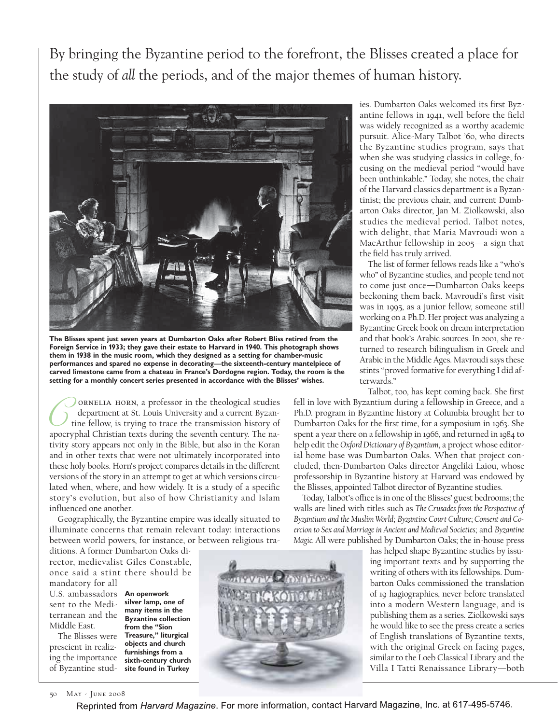By bringing the Byzantine period to the forefront, the Blisses created a place for the study of *all* the periods, and of the major themes of human history.



**The Blisses spent just seven years at Dumbarton Oaks after Robert Bliss retired from the Foreign Service in 1933; they gave their estate to Harvard in 1940. This photograph shows them in 1938 in the music room, which they designed as a setting for chamber-music performances and spared no expense in decorating—the sixteenth-century mantelpiece of carved limestone came from a chateau in France's Dordogne region. Today, the room is the setting for a monthly concert series presented in accordance with the Blisses' wishes.**

ornelia horn, a professor in the theological studies department at St. Louis University and a current Byzantine fellow, is trying to trace the transmission history of ORNELIA HORN, a professor in the theological studies<br>department at St. Louis University and a current Byzan-<br>tine fellow, is trying to trace the transmission history of<br>apocryphal Christian texts during the seventh century tivity story appears not only in the Bible, but also in the Koran and in other texts that were not ultimately incorporated into these holy books. Horn's project compares details in the different versions of the story in an attempt to get at which versions circulated when, where, and how widely. It is a study of a specific story's evolution, but also of how Christianity and Islam influenced one another.

Geographically, the Byzantine empire was ideally situated to illuminate concerns that remain relevant today: interactions between world powers, for instance, or between religious tra-

ditions. A former Dumbarton Oaks director, medievalist Giles Constable, once said a stint there should be mandatory for all

U.S. ambassadors **An openwork**  sent to the Mediterranean and the Middle East.

prescient in realizing the importance

The Blisses were **Treasure," liturgical** of Byzantine stud-**site found in Turkeysilver lamp, one of many items in the Byzantine collection from the "Sion objects and church furnishings from a sixth-century church**



ies. Dumbarton Oaks welcomed its first Byzantine fellows in 1941, well before the field was widely recognized as a worthy academic pursuit. Alice-Mary Talbot '60, who directs the Byzantine studies program, says that when she was studying classics in college, focusing on the medieval period "would have been unthinkable." Today, she notes, the chair of the Harvard classics department is a Byzantinist; the previous chair, and current Dumbarton Oaks director, Jan M. Ziolkowski, also studies the medieval period. Talbot notes, with delight, that Maria Mavroudi won a MacArthur fellowship in 2005—a sign that the field has truly arrived.

The list of former fellows reads like a "who's who" of Byzantine studies, and people tend not to come just once—Dumbarton Oaks keeps beckoning them back. Mavroudi's first visit was in 1995, as a junior fellow, someone still working on a Ph.D. Her project was analyzing a Byzantine Greek book on dream interpretation and that book's Arabic sources. In 2001, she returned to research bilingualism in Greek and Arabic in the Middle Ages. Mavroudi says these stints "proved formative for everything I did afterwards."

Talbot, too, has kept coming back. She first

fell in love with Byzantium during a fellowship in Greece, and a Ph.D. program in Byzantine history at Columbia brought her to Dumbarton Oaks for the first time, for a symposium in 1963. She spent a year there on a fellowship in 1966, and returned in 1984 to help edit the *Oxford Dictionary of Byzantium*, a project whose editorial home base was Dumbarton Oaks. When that project concluded, then-Dumbarton Oaks director Angeliki Laiou, whose professorship in Byzantine history at Harvard was endowed by the Blisses, appointed Talbot director of Byzantine studies.

Today, Talbot's office is in one of the Blisses' guest bedrooms; the walls are lined with titles such as *The Crusades from the Perspective of Byzantium and the Muslim World*; *Byzantine Court Culture*; *Consent and Coercion to Sex and Marriage in Ancient and Medieval Societies*; and *Byzantine Magic.* All were published by Dumbarton Oaks; the in-house press

> has helped shape Byzantine studies by issuing important texts and by supporting the writing of others with its fellowships. Dumbarton Oaks commissioned the translation of 19 hagiographies, never before translated into a modern Western language, and is publishing them as a series. Ziolkowski says he would like to see the press create a series of English translations of Byzantine texts, with the original Greek on facing pages, similar to the Loeb Classical Library and the Villa I Tatti Renaissance Library—both

50 May - June 2008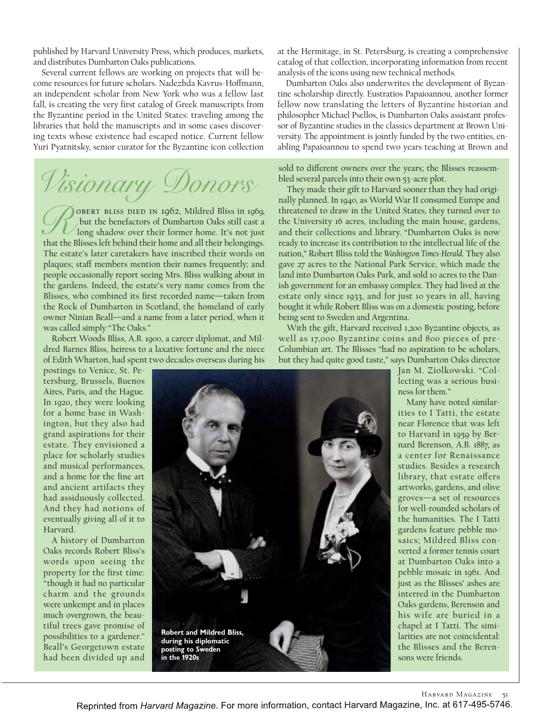published by Harvard University Press, which produces, markets, and distributes Dumbarton Oaks publications.

Several current fellows are working on projects that will become resources for future scholars. Nadezhda Kavrus-Hoffmann, an independent scholar from New York who was a fellow last fall, is creating the very first catalog of Greek manuscripts from the Byzantine period in the United States: traveling among the libraries that hold the manuscripts and in some cases discovering texts whose existence had escaped notice. Current fellow Yuri Pyatnitsky, senior curator for the Byzantine icon collection

Visionary Donors

obert bliss died in 1962, Mildred Bliss in 1969, but the benefactors of Dumbarton Oaks still cast a long shadow over their former home. It's not just TOBERT BLISS DIED IN 1962, Mildred Bliss in 1969, but the benefactors of Dumbarton Oaks still cast a<br>that the Blisses left behind their home and all their belongings. The estate's later caretakers have inscribed their words on plaques; staff members mention their names frequently; and people occasionally report seeing Mrs. Bliss walking about in the gardens. Indeed, the estate's very name comes from the Blisses, who combined its first recorded name—taken from the Rock of Dumbarton in Scotland, the homeland of early owner Ninian Beall—and a name from a later period, when it was called simply "The Oaks."

Robert Woods Bliss, A.B. 1900, a career diplomat, and Mildred Barnes Bliss, heiress to a laxative fortune and the niece of Edith Wharton, had spent two decades overseas during his

postings to Venice, St. Petersburg, Brussels, Buenos Aires, Paris, and the Hague. In 1920, they were looking for a home base in Washington, but they also had grand aspirations for their estate. They envisioned a place for scholarly studies and musical performances, and a home for the fine art and ancient artifacts they had assiduously collected. And they had notions of eventually giving all of it to Harvard.

A history of Dumbarton Oaks records Robert Bliss's words upon seeing the property for the first time: "though it had no particular charm and the grounds were unkempt and in places much overgrown, the beautiful trees gave promise of possibilities to a gardener." Beall's Georgetown estate had been divided up and

at the Hermitage, in St. Petersburg, is creating a comprehensive catalog of that collection, incorporating information from recent analysis of the icons using new technical methods.

Dumbarton Oaks also underwrites the development of Byzantine scholarship directly. Eustratios Papaioannou, another former fellow now translating the letters of Byzantine historian and philosopher Michael Psellos, is Dumbarton Oaks assistant professor of Byzantine studies in the classics department at Brown University. The appointment is jointly funded by the two entities, enabling Papaioannou to spend two years teaching at Brown and

## sold to different owners over the years; the Blisses reassembled several parcels into their own 53-acre plot.

They made their gift to Harvard sooner than they had originally planned. In 1940, as World War II consumed Europe and threatened to draw in the United States, they turned over to the University 16 acres, including the main house, gardens, and their collections and library. "Dumbarton Oaks is now ready to increase its contribution to the intellectual life of the nation," Robert Bliss told the *Washington Times-Herald*. They also gave 27 acres to the National Park Service, which made the land into Dumbarton Oaks Park, and sold 10 acres to the Danish government for an embassy complex. They had lived at the estate only since 1933, and for just 10 years in all, having bought it while Robert Bliss was on a domestic posting, before being sent to Sweden and Argentina.

With the gift, Harvard received 1,200 Byzantine objects, as well as 17,000 Byzantine coins and 800 pieces of pre-Columbian art. The Blisses "had no aspiration to be scholars, but they had quite good taste," says Dumbarton Oaks director



Jan M. Ziolkowski. "Collecting was a serious business for them."

Many have noted similarities to I Tatti, the estate near Florence that was left to Harvard in 1959 by Bernard Berenson, A.B. 1887, as a center for Renaissance studies. Besides a research library, that estate offers artworks, gardens, and olive groves—a set of resources for well-rounded scholars of the humanities. The I Tatti gardens feature pebble mosaics; Mildred Bliss converted a former tennis court at Dumbarton Oaks into a pebble mosaic in 1961. And just as the Blisses' ashes are interred in the Dumbarton Oaks gardens, Berenson and his wife are buried in a chapel at I Tatti. The similarities are not coincidental: the Blisses and the Berensons were friends.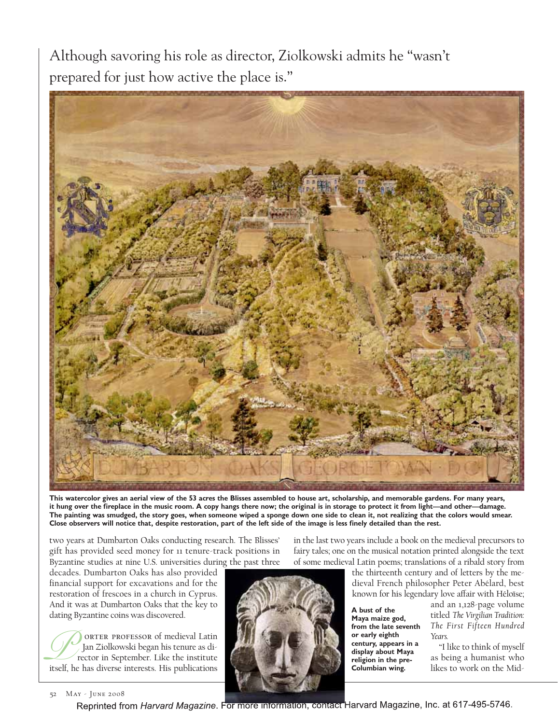Although savoring his role as director, Ziolkowski admits he "wasn't prepared for just how active the place is."



**This watercolor gives an aerial view of the 53 acres the Blisses assembled to house art, scholarship, and memorable gardens. For many years, it hung over the fireplace in the music room. A copy hangs there now; the original is in storage to protect it from light—and other—damage. The painting was smudged, the story goes, when someone wiped a sponge down one side to clean it, not realizing that the colors would smear. Close observers will notice that, despite restoration, part of the left side of the image is less finely detailed than the rest.** 

two years at Dumbarton Oaks conducting research. The Blisses' gift has provided seed money for 11 tenure-track positions in Byzantine studies at nine U.S. universities during the past three

decades. Dumbarton Oaks has also provided financial support for excavations and for the restoration of frescoes in a church in Cyprus. And it was at Dumbarton Oaks that the key to dating Byzantine coins was discovered.

ORTER PROFESSOR of medieval Latin Jan Ziolkowski began his tenure as director in September. Like the institute **istuary of the diverse interests of medieval Latin** Jan Ziolkowski began his tenure as diverse interests. His publications

in the last two years include a book on the medieval precursors to fairy tales; one on the musical notation printed alongside the text of some medieval Latin poems; translations of a ribald story from

the thirteenth century and of letters by the medieval French philosopher Peter Abélard, best known for his legendary love affair with Héloïse;

**A bust of the Maya maize god, from the late seventh or early eighth century, appears in a display about Maya religion in the pre-Columbian wing.**

and an 1,128-page volume titled *The Virgilian Tradition: The First Fifteen Hundred Years.*

"I like to think of myself as being a humanist who likes to work on the Mid-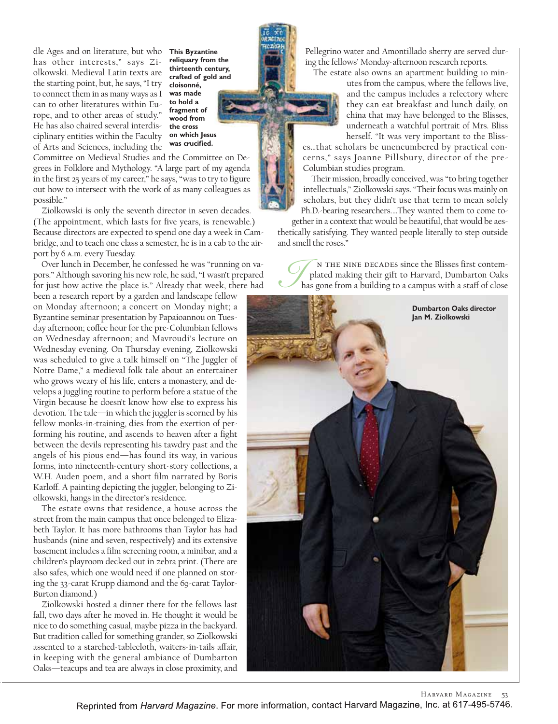dle Ages and on literature, but who has other interests," says Ziolkowski. Medieval Latin texts are the starting point, but, he says, "I try to connect them in as many ways as I can to other literatures within Europe, and to other areas of study." He has also chaired several interdisciplinary entities within the Faculty of Arts and Sciences, including the

**This Byzantine reliquary from the thirteenth century, crafted of gold and cloisonné, was made to hold a fragment of wood from the cross on which Jesus was crucified.**

Committee on Medieval Studies and the Committee on Degrees in Folklore and Mythology. "A large part of my agenda in the first 25 years of my career," he says, "was to try to figure out how to intersect with the work of as many colleagues as possible."

Ziolkowski is only the seventh director in seven decades. (The appointment, which lasts for five years, is renewable.) Because directors are expected to spend one day a week in Cambridge, and to teach one class a semester, he is in a cab to the airport by 6 a.m. every Tuesday.

Over lunch in December, he confessed he was "running on vapors." Although savoring his new role, he said, "I wasn't prepared for just how active the place is." Already that week, there had

been a research report by a garden and landscape fellow on Monday afternoon; a concert on Monday night; a Byzantine seminar presentation by Papaioannou on Tuesday afternoon; coffee hour for the pre-Columbian fellows on Wednesday afternoon; and Mavroudi's lecture on Wednesday evening. On Thursday evening, Ziolkowski was scheduled to give a talk himself on "The Juggler of Notre Dame," a medieval folk tale about an entertainer who grows weary of his life, enters a monastery, and develops a juggling routine to perform before a statue of the Virgin because he doesn't know how else to express his devotion. The tale—in which the juggler is scorned by his fellow monks-in-training, dies from the exertion of performing his routine, and ascends to heaven after a fight between the devils representing his tawdry past and the angels of his pious end—has found its way, in various forms, into nineteenth-century short-story collections, a W.H. Auden poem, and a short film narrated by Boris Karloff. A painting depicting the juggler, belonging to Ziolkowski, hangs in the director's residence.

The estate owns that residence, a house across the street from the main campus that once belonged to Elizabeth Taylor. It has more bathrooms than Taylor has had husbands (nine and seven, respectively) and its extensive basement includes a film screening room, a minibar, and a children's playroom decked out in zebra print. (There are also safes, which one would need if one planned on storing the 33-carat Krupp diamond and the 69-carat Taylor-Burton diamond.)

Ziolkowski hosted a dinner there for the fellows last fall, two days after he moved in. He thought it would be nice to do something casual, maybe pizza in the backyard. But tradition called for something grander, so Ziolkowski assented to a starched-tablecloth, waiters-in-tails affair, in keeping with the general ambiance of Dumbarton Oaks—teacups and tea are always in close proximity, and

Pellegrino water and Amontillado sherry are served during the fellows' Monday-afternoon research reports.

The estate also owns an apartment building 10 min-

utes from the campus, where the fellows live, and the campus includes a refectory where they can eat breakfast and lunch daily, on china that may have belonged to the Blisses, underneath a watchful portrait of Mrs. Bliss herself. "It was very important to the Bliss-

es…that scholars be unencumbered by practical concerns," says Joanne Pillsbury, director of the pre-Columbian studies program.

Their mission, broadly conceived, was "to bring together intellectuals," Ziolkowski says. "Their focus was mainly on scholars, but they didn't use that term to mean solely Ph.D.-bearing researchers.…They wanted them to come to-

gether in a context that would be beautiful, that would be aesthetically satisfying. They wanted people literally to step outside and smell the roses."

n the nine decades since the Blisses first contemplated making their gift to Harvard, Dumbarton Oaks Ihas gone from a building to a campus with a sta≠ of close



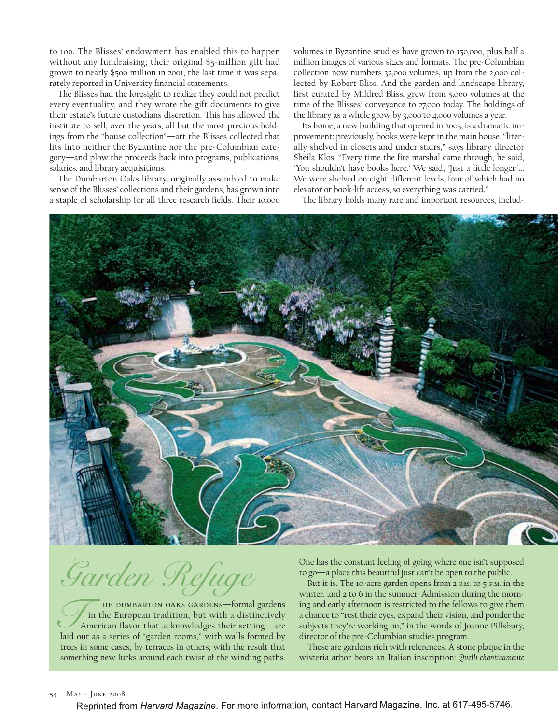to 100. The Blisses' endowment has enabled this to happen without any fundraising; their original \$5-million gift had grown to nearly \$500 million in 2001, the last time it was separately reported in University financial statements.

The Blisses had the foresight to realize they could not predict every eventuality, and they wrote the gift documents to give their estate's future custodians discretion. This has allowed the institute to sell, over the years, all but the most precious holdings from the "house collection"—art the Blisses collected that fits into neither the Byzantine nor the pre-Columbian category—and plow the proceeds back into programs, publications, salaries, and library acquisitions.

The Dumbarton Oaks library, originally assembled to make sense of the Blisses' collections and their gardens, has grown into a staple of scholarship for all three research fields. Their 10,000 volumes in Byzantine studies have grown to 150,000, plus half a million images of various sizes and formats. The pre-Columbian collection now numbers 32,000 volumes, up from the 2,000 collected by Robert Bliss. And the garden and landscape library, first curated by Mildred Bliss, grew from 5,000 volumes at the time of the Blisses' conveyance to 27,000 today. The holdings of the library as a whole grow by 3,000 to 4,000 volumes a year.

Its home, a new building that opened in 2005, is a dramatic improvement: previously, books were kept in the main house, "literally shelved in closets and under stairs," says library director Sheila Klos. "Every time the fire marshal came through, he said, 'You shouldn't have books here.' We said, 'Just a little longer.'... We were shelved on eight different levels, four of which had no elevator or book-lift access, so everything was carried."

The library holds many rare and important resources, includ-



Garden Refuge

he dumbarton oaks gardens—formal gardens in the European tradition, but with a distinctively American flavor that acknowledges their setting—are HE DUMBARTON OAKS GARDENS—formal gardens<br>
American flavor that acknowledges their setting—are<br>
laid out as a series of "garden rooms," with walls formed by trees in some cases, by terraces in others, with the result that something new lurks around each twist of the winding paths.

One has the constant feeling of going where one isn't supposed to go—a place this beautiful just can't be open to the public.

But it is. The 10-acre garden opens from 2 P.M. to 5 P.M. in the winter, and 2 to 6 in the summer. Admission during the morning and early afternoon is restricted to the fellows to give them a chance to "rest their eyes, expand their vision, and ponder the subjects they're working on," in the words of Joanne Pillsbury, director of the pre-Columbian studies program.

These are gardens rich with references. A stone plaque in the wisteria arbor bears an Italian inscription: *Quelli chanticamente*

## 54 May - June 2008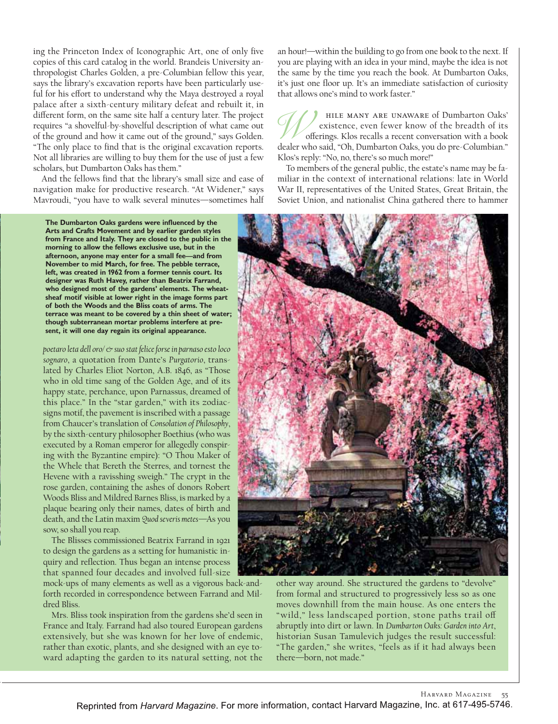ing the Princeton Index of Iconographic Art, one of only five copies of this card catalog in the world. Brandeis University anthropologist Charles Golden, a pre-Columbian fellow this year, says the library's excavation reports have been particularly useful for his effort to understand why the Maya destroyed a royal palace after a sixth-century military defeat and rebuilt it, in different form, on the same site half a century later. The project requires "a shovelful-by-shovelful description of what came out of the ground and how it came out of the ground," says Golden. "The only place to find that is the original excavation reports. Not all libraries are willing to buy them for the use of just a few scholars, but Dumbarton Oaks has them."

And the fellows find that the library's small size and ease of navigation make for productive research. "At Widener," says Mavroudi, "you have to walk several minutes—sometimes half

**The Dumbarton Oaks gardens were influenced by the Arts and Crafts Movement and by earlier garden styles from France and Italy. They are closed to the public in the morning to allow the fellows exclusive use, but in the afternoon, anyone may enter for a small fee—and from November to mid March, for free. The pebble terrace, left, was created in 1962 from a former tennis court. Its designer was Ruth Havey, rather than Beatrix Farrand, who designed most of the gardens' elements. The wheatsheaf motif visible at lower right in the image forms part of both the Woods and the Bliss coats of arms. The terrace was meant to be covered by a thin sheet of water; though subterranean mortar problems interfere at present, it will one day regain its original appearance.**

*poetaro leta dell oro/ & suo stat felice forse in parnaso esto loco sognaro*, a quotation from Dante's *Purgatorio*, translated by Charles Eliot Norton, A.B. 1846, as "Those who in old time sang of the Golden Age, and of its happy state, perchance, upon Parnassus, dreamed of this place." In the "star garden," with its zodiacsigns motif, the pavement is inscribed with a passage from Chaucer's translation of *Consolation of Philosophy*, by the sixth-century philosopher Boethius (who was executed by a Roman emperor for allegedly conspiring with the Byzantine empire): "O Thou Maker of the Whele that Bereth the Sterres, and tornest the Hevene with a ravisshing sweigh." The crypt in the rose garden, containing the ashes of donors Robert Woods Bliss and Mildred Barnes Bliss, is marked by a plaque bearing only their names, dates of birth and death, and the Latin maxim *Quod severis metes*—As you sow, so shall you reap.

The Blisses commissioned Beatrix Farrand in 1921 to design the gardens as a setting for humanistic inquiry and reflection. Thus began an intense process that spanned four decades and involved full-size

mock-ups of many elements as well as a vigorous back-andforth recorded in correspondence between Farrand and Mildred Bliss.

Mrs. Bliss took inspiration from the gardens she'd seen in France and Italy. Farrand had also toured European gardens extensively, but she was known for her love of endemic, rather than exotic, plants, and she designed with an eye toward adapting the garden to its natural setting, not the an hour!—within the building to go from one book to the next. If you are playing with an idea in your mind, maybe the idea is not the same by the time you reach the book. At Dumbarton Oaks, it's just one floor up. It's an immediate satisfaction of curiosity that allows one's mind to work faster."

hile many are unaware of Dumbarton Oaks' existence, even fewer know of the breadth of its offerings. Klos recalls a recent conversation with a book HILE MANY ARE UNAWARE of Dumbarton Oaks'<br>existence, even fewer know of the breadth of its<br>offerings. Klos recalls a recent conversation with a book<br>dealer who said, "Oh, Dumbarton Oaks, you do pre-Columbian." Klos's reply: "No, no, there's so much more!"

To members of the general public, the estate's name may be familiar in the context of international relations: late in World War II, representatives of the United States, Great Britain, the Soviet Union, and nationalist China gathered there to hammer



other way around. She structured the gardens to "devolve" from formal and structured to progressively less so as one moves downhill from the main house. As one enters the "wild," less landscaped portion, stone paths trail off abruptly into dirt or lawn. In *Dumbarton Oaks: Garden into Art*, historian Susan Tamulevich judges the result successful: "The garden," she writes, "feels as if it had always been there—born, not made."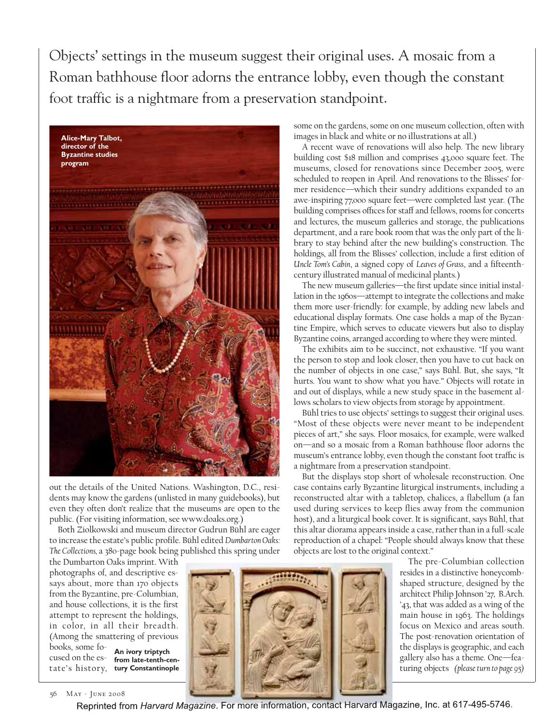Objects' settings in the museum suggest their original uses. A mosaic from a Roman bathhouse floor adorns the entrance lobby, even though the constant foot traffic is a nightmare from a preservation standpoint.



out the details of the United Nations. Washington, D.C., residents may know the gardens (unlisted in many guidebooks), but even they often don't realize that the museums are open to the public. (For visiting information, see www.doaks.org.)

Both Ziolkowski and museum director Gudrun Bühl are eager to increase the estate's public profile. Bühl edited *Dumbarton Oaks: The Collections,* a 380-page book being published this spring under

the Dumbarton Oaks imprint. With photographs of, and descriptive essays about, more than 170 objects from the Byzantine, pre-Columbian, and house collections, it is the first attempt to represent the holdings, in color, in all their breadth. (Among the smattering of previous

books, some fo-

cused on the es-**from late-tenth-cen**tate's history, **tury Constantinople An ivory triptych**



A recent wave of renovations will also help. The new library building cost \$18 million and comprises 43,000 square feet. The museums, closed for renovations since December 2005, were scheduled to reopen in April. And renovations to the Blisses' former residence—which their sundry additions expanded to an awe-inspiring 77,000 square feet—were completed last year. (The building comprises offices for staff and fellows, rooms for concerts and lectures, the museum galleries and storage, the publications department, and a rare book room that was the only part of the library to stay behind after the new building's construction. The holdings, all from the Blisses' collection, include a first edition of *Uncle Tom's Cabin*, a signed copy of *Leaves of Grass*, and a fifteenthcentury illustrated manual of medicinal plants.)

The new museum galleries—the first update since initial installation in the 1960s—attempt to integrate the collections and make them more user-friendly: for example, by adding new labels and educational display formats. One case holds a map of the Byzantine Empire, which serves to educate viewers but also to display Byzantine coins, arranged according to where they were minted.

The exhibits aim to be succinct, not exhaustive. "If you want the person to stop and look closer, then you have to cut back on the number of objects in one case," says Bühl. But, she says, "It hurts. You want to show what you have." Objects will rotate in and out of displays, while a new study space in the basement allows scholars to view objects from storage by appointment.

Bühl tries to use objects' settings to suggest their original uses. "Most of these objects were never meant to be independent pieces of art," she says. Floor mosaics, for example, were walked on—and so a mosaic from a Roman bathhouse floor adorns the museum's entrance lobby, even though the constant foot traffic is a nightmare from a preservation standpoint.

But the displays stop short of wholesale reconstruction. One case contains early Byzantine liturgical instruments, including a reconstructed altar with a tabletop, chalices, a flabellum (a fan used during services to keep flies away from the communion host), and a liturgical book cover. It is significant, says Bühl, that this altar diorama appears inside a case, rather than in a full-scale reproduction of a chapel: "People should always know that these objects are lost to the original context."

> The pre-Columbian collection resides in a distinctive honeycombshaped structure, designed by the architect Philip Johnson '27, B.Arch. '43, that was added as a wing of the main house in 1963. The holdings focus on Mexico and areas south. The post-renovation orientation of the displays is geographic, and each gallery also has a theme. One—featuring objects *(please turn to page 95)*



56 May - June 2008